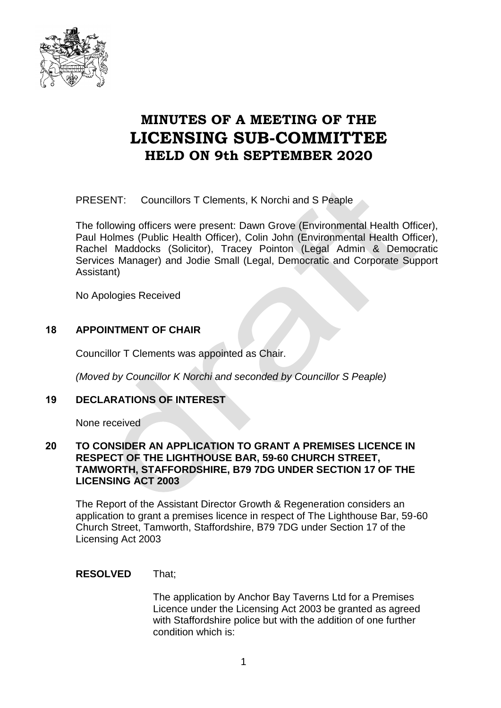

# **MINUTES OF A MEETING OF THE LICENSING SUB-COMMITTEE HELD ON 9th SEPTEMBER 2020**

PRESENT: Councillors T Clements, K Norchi and S Peaple

The following officers were present: Dawn Grove (Environmental Health Officer), Paul Holmes (Public Health Officer), Colin John (Environmental Health Officer), Rachel Maddocks (Solicitor), Tracey Pointon (Legal Admin & Democratic Services Manager) and Jodie Small (Legal, Democratic and Corporate Support Assistant)

No Apologies Received

## **18 APPOINTMENT OF CHAIR**

Councillor T Clements was appointed as Chair.

*(Moved by Councillor K Norchi and seconded by Councillor S Peaple)*

### **19 DECLARATIONS OF INTEREST**

None received

### **20 TO CONSIDER AN APPLICATION TO GRANT A PREMISES LICENCE IN RESPECT OF THE LIGHTHOUSE BAR, 59-60 CHURCH STREET, TAMWORTH, STAFFORDSHIRE, B79 7DG UNDER SECTION 17 OF THE LICENSING ACT 2003**

The Report of the Assistant Director Growth & Regeneration considers an application to grant a premises licence in respect of The Lighthouse Bar, 59-60 Church Street, Tamworth, Staffordshire, B79 7DG under Section 17 of the Licensing Act 2003

### **RESOLVED** That;

The application by Anchor Bay Taverns Ltd for a Premises Licence under the Licensing Act 2003 be granted as agreed with Staffordshire police but with the addition of one further condition which is: